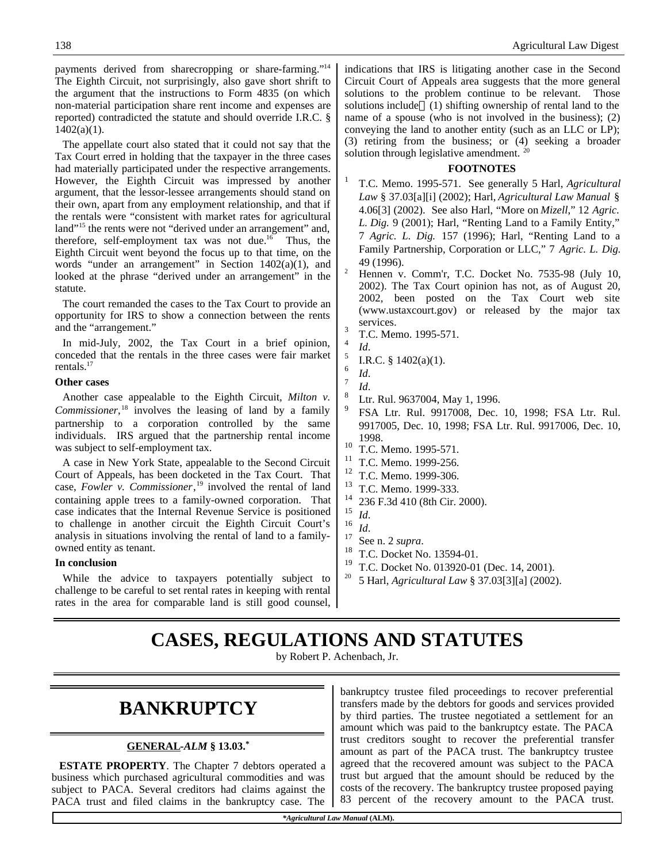payments derived from sharecropping or share-farming."<sup>14</sup> The Eighth Circuit, not surprisingly, also gave short shrift to the argument that the instructions to Form 4835 (on which non-material participation share rent income and expenses are reported) contradicted the statute and should override I.R.C. §  $1402(a)(1)$ .

The appellate court also stated that it could not say that the Tax Court erred in holding that the taxpayer in the three cases had materially participated under the respective arrangements. However, the Eighth Circuit was impressed by another argument, that the lessor-lessee arrangements should stand on their own, apart from any employment relationship, and that if the rentals were "consistent with market rates for agricultural land"<sup>15</sup> the rents were not "derived under an arrangement" and, therefore, self-employment tax was not due.<sup>16</sup> Thus, the Eighth Circuit went beyond the focus up to that time, on the words "under an arrangement" in Section 1402(a)(1), and looked at the phrase "derived under an arrangement" in the statute.

The court remanded the cases to the Tax Court to provide an opportunity for IRS to show a connection between the rents and the "arrangement."

In mid-July, 2002, the Tax Court in a brief opinion, conceded that the rentals in the three cases were fair market rentals.<sup>17</sup>

#### **Other cases**

Another case appealable to the Eighth Circuit, *Milton v. Commissioner*, <sup>18</sup> involves the leasing of land by a family partnership to a corporation controlled by the same individuals. IRS argued that the partnership rental income was subject to self-employment tax.

A case in New York State, appealable to the Second Circuit Court of Appeals, has been docketed in the Tax Court. That case, *Fowler v. Commissioner*, <sup>19</sup> involved the rental of land containing apple trees to a family-owned corporation. That case indicates that the Internal Revenue Service is positioned to challenge in another circuit the Eighth Circuit Court's analysis in situations involving the rental of land to a familyowned entity as tenant.

#### **In conclusion**

While the advice to taxpayers potentially subject to challenge to be careful to set rental rates in keeping with rental rates in the area for comparable land is still good counsel, indications that IRS is litigating another case in the Second Circuit Court of Appeals area suggests that the more general solutions to the problem continue to be relevant. Those solutions include (1) shifting ownership of rental land to the name of a spouse (who is not involved in the business); (2) conveying the land to another entity (such as an LLC or LP); (3) retiring from the business; or (4) seeking a broader solution through legislative amendment.<sup>20</sup>

#### **FOOTNOTES**

- 1 T.C. Memo. 1995-571. See generally 5 Harl, *Agricultural Law* § 37.03[a][i] (2002); Harl, *Agricultural Law Manual* § 4.06[3] (2002). See also Harl, "More on *Mizell*," 12 *Agric. L. Dig.* 9 (2001); Harl, "Renting Land to a Family Entity," 7 *Agric. L. Dig.* 157 (1996); Harl, "Renting Land to a Family Partnership, Corporation or LLC," 7 *Agric. L. Dig.* 49 (1996).
- Hennen v. Comm'r, T.C. Docket No. 7535-98 (July 10, 2002). The Tax Court opinion has not, as of August 20, 2002, been posted on the Tax Court web site (www.ustaxcourt.gov) or released by the major tax services. 3
	- T.C. Memo. 1995-571.
- 4 *Id*. 5

6

7

8

- I.R.C. § 1402(a)(1).
- *Id*.
- *Id*.
- Ltr. Rul. 9637004, May 1, 1996.
- 9 FSA Ltr. Rul. 9917008, Dec. 10, 1998; FSA Ltr. Rul. 9917005, Dec. 10, 1998; FSA Ltr. Rul. 9917006, Dec. 10, 1998.
- $\frac{10}{11}$  T.C. Memo. 1995-571.
- <sup>11</sup> T.C. Memo. 1999-256.<br><sup>12</sup> T.C. Mama. 1999-296.
- <sup>12</sup> T.C. Memo. 1999-306.<br><sup>13</sup> T.C. Memo. 1999-333
- <sup>13</sup> T.C. Memo. 1999-333.
- $^{14}_{15}$  236 F.3d 410 (8th Cir. 2000).
- $\frac{15}{16}$  *Id.*
- $\frac{16}{17}$  *Id.*
- $\frac{17}{18}$  See n. 2 *supra*.
- T.C. Docket No. 13594-01.
- T.C. Docket No. 013920-01 (Dec. 14, 2001).
- <sup>20</sup> 5 Harl, *Agricultural Law* § 37.03[3][a] (2002).

## **CASES, REGULATIONS AND STATUTES**

by Robert P. Achenbach, Jr.

## **BANKRUPTCY**

#### **GENERAL -***ALM* **§ 13.03.\***

**ESTATE PROPERTY**. The Chapter 7 debtors operated a business which purchased agricultural commodities and was subject to PACA. Several creditors had claims against the PACA trust and filed claims in the bankruptcy case. The bankruptcy trustee filed proceedings to recover preferential transfers made by the debtors for goods and services provided by third parties. The trustee negotiated a settlement for an amount which was paid to the bankruptcy estate. The PACA trust creditors sought to recover the preferential transfer amount as part of the PACA trust. The bankruptcy trustee agreed that the recovered amount was subject to the PACA trust but argued that the amount should be reduced by the costs of the recovery. The bankruptcy trustee proposed paying 83 percent of the recovery amount to the PACA trust.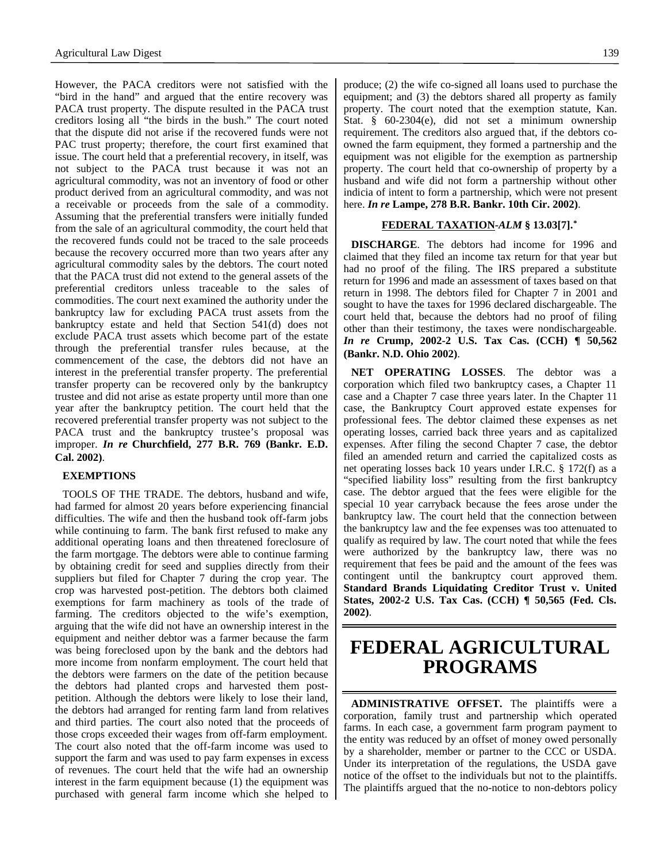However, the PACA creditors were not satisfied with the "bird in the hand" and argued that the entire recovery was PACA trust property. The dispute resulted in the PACA trust creditors losing all "the birds in the bush." The court noted that the dispute did not arise if the recovered funds were not PAC trust property; therefore, the court first examined that issue. The court held that a preferential recovery, in itself, was not subject to the PACA trust because it was not an agricultural commodity, was not an inventory of food or other product derived from an agricultural commodity, and was not a receivable or proceeds from the sale of a commodity. Assuming that the preferential transfers were initially funded from the sale of an agricultural commodity, the court held that the recovered funds could not be traced to the sale proceeds because the recovery occurred more than two years after any agricultural commodity sales by the debtors. The court noted that the PACA trust did not extend to the general assets of the preferential creditors unless traceable to the sales of commodities. The court next examined the authority under the bankruptcy law for excluding PACA trust assets from the bankruptcy estate and held that Section 541(d) does not exclude PACA trust assets which become part of the estate through the preferential transfer rules because, at the commencement of the case, the debtors did not have an interest in the preferential transfer property. The preferential transfer property can be recovered only by the bankruptcy trustee and did not arise as estate property until more than one year after the bankruptcy petition. The court held that the recovered preferential transfer property was not subject to the PACA trust and the bankruptcy trustee's proposal was improper. *In re* **Churchfield, 277 B.R. 769 (Bankr. E.D. Cal. 2002)**.

#### **EXEMPTIONS**

TOOLS OF THE TRADE. The debtors, husband and wife, had farmed for almost 20 years before experiencing financial difficulties. The wife and then the husband took off-farm jobs while continuing to farm. The bank first refused to make any additional operating loans and then threatened foreclosure of the farm mortgage. The debtors were able to continue farming by obtaining credit for seed and supplies directly from their suppliers but filed for Chapter 7 during the crop year. The crop was harvested post-petition. The debtors both claimed exemptions for farm machinery as tools of the trade of farming. The creditors objected to the wife's exemption, arguing that the wife did not have an ownership interest in the equipment and neither debtor was a farmer because the farm was being foreclosed upon by the bank and the debtors had more income from nonfarm employment. The court held that the debtors were farmers on the date of the petition because the debtors had planted crops and harvested them postpetition. Although the debtors were likely to lose their land, the debtors had arranged for renting farm land from relatives and third parties. The court also noted that the proceeds of those crops exceeded their wages from off-farm employment. The court also noted that the off-farm income was used to support the farm and was used to pay farm expenses in excess of revenues. The court held that the wife had an ownership interest in the farm equipment because (1) the equipment was purchased with general farm income which she helped to

produce; (2) the wife co-signed all loans used to purchase the equipment; and (3) the debtors shared all property as family property. The court noted that the exemption statute, Kan. Stat. § 60-2304(e), did not set a minimum ownership requirement. The creditors also argued that, if the debtors coowned the farm equipment, they formed a partnership and the equipment was not eligible for the exemption as partnership property. The court held that co-ownership of property by a husband and wife did not form a partnership without other indicia of intent to form a partnership, which were not present here. *In re* **Lampe, 278 B.R. Bankr. 10th Cir. 2002)**.

#### **FEDERAL TAXATION -***ALM* **§ 13.03[7].\***

**DISCHARGE**. The debtors had income for 1996 and claimed that they filed an income tax return for that year but had no proof of the filing. The IRS prepared a substitute return for 1996 and made an assessment of taxes based on that return in 1998. The debtors filed for Chapter 7 in 2001 and sought to have the taxes for 1996 declared dischargeable. The court held that, because the debtors had no proof of filing other than their testimony, the taxes were nondischargeable. *In re* **Crump, 2002-2 U.S. Tax Cas. (CCH) ¶ 50,562 (Bankr. N.D. Ohio 2002)**.

**NET OPERATING LOSSES**. The debtor was a corporation which filed two bankruptcy cases, a Chapter 11 case and a Chapter 7 case three years later. In the Chapter 11 case, the Bankruptcy Court approved estate expenses for professional fees. The debtor claimed these expenses as net operating losses, carried back three years and as capitalized expenses. After filing the second Chapter 7 case, the debtor filed an amended return and carried the capitalized costs as net operating losses back 10 years under I.R.C. § 172(f) as a "specified liability loss" resulting from the first bankruptcy case. The debtor argued that the fees were eligible for the special 10 year carryback because the fees arose under the bankruptcy law. The court held that the connection between the bankruptcy law and the fee expenses was too attenuated to qualify as required by law. The court noted that while the fees were authorized by the bankruptcy law, there was no requirement that fees be paid and the amount of the fees was contingent until the bankruptcy court approved them. **Standard Brands Liquidating Creditor Trust v. United States, 2002-2 U.S. Tax Cas. (CCH) ¶ 50,565 (Fed. Cls. 2002)**.

### **FEDERAL AGRICULTURAL PROGRAMS**

**ADMINISTRATIVE OFFSET.** The plaintiffs were a corporation, family trust and partnership which operated farms. In each case, a government farm program payment to the entity was reduced by an offset of money owed personally by a shareholder, member or partner to the CCC or USDA. Under its interpretation of the regulations, the USDA gave notice of the offset to the individuals but not to the plaintiffs. The plaintiffs argued that the no-notice to non-debtors policy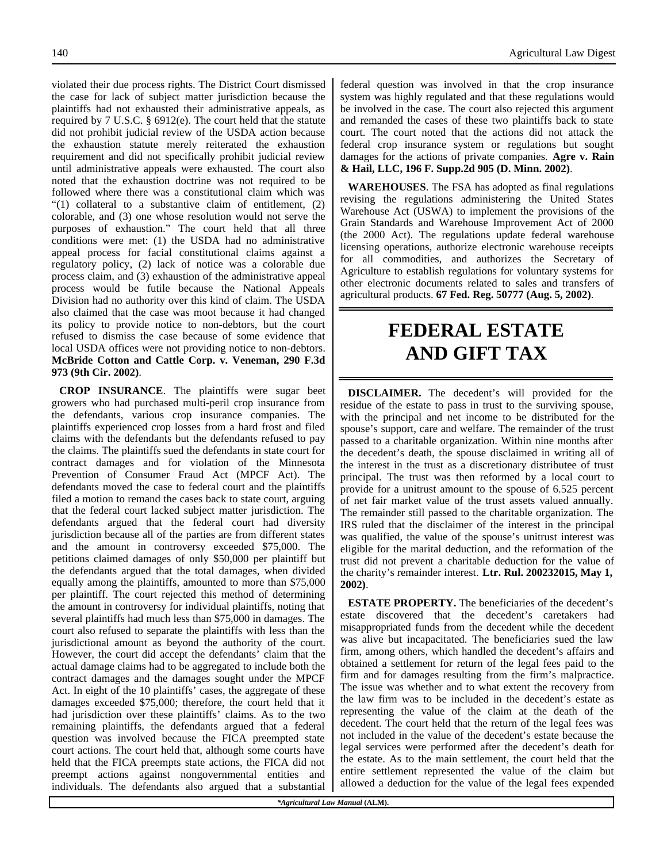violated their due process rights. The District Court dismissed the case for lack of subject matter jurisdiction because the plaintiffs had not exhausted their administrative appeals, as required by 7 U.S.C. § 6912(e). The court held that the statute did not prohibit judicial review of the USDA action because the exhaustion statute merely reiterated the exhaustion requirement and did not specifically prohibit judicial review until administrative appeals were exhausted. The court also noted that the exhaustion doctrine was not required to be followed where there was a constitutional claim which was "(1) collateral to a substantive claim of entitlement, (2) colorable, and (3) one whose resolution would not serve the purposes of exhaustion." The court held that all three conditions were met: (1) the USDA had no administrative appeal process for facial constitutional claims against a regulatory policy, (2) lack of notice was a colorable due process claim, and (3) exhaustion of the administrative appeal process would be futile because the National Appeals Division had no authority over this kind of claim. The USDA also claimed that the case was moot because it had changed its policy to provide notice to non-debtors, but the court refused to dismiss the case because of some evidence that local USDA offices were not providing notice to non-debtors. **McBride Cotton and Cattle Corp. v. Veneman, 290 F.3d 973 (9th Cir. 2002)**.

**CROP INSURANCE**. The plaintiffs were sugar beet growers who had purchased multi-peril crop insurance from the defendants, various crop insurance companies. The plaintiffs experienced crop losses from a hard frost and filed claims with the defendants but the defendants refused to pay the claims. The plaintiffs sued the defendants in state court for contract damages and for violation of the Minnesota Prevention of Consumer Fraud Act (MPCF Act). The defendants moved the case to federal court and the plaintiffs filed a motion to remand the cases back to state court, arguing that the federal court lacked subject matter jurisdiction. The defendants argued that the federal court had diversity jurisdiction because all of the parties are from different states and the amount in controversy exceeded \$75,000. The petitions claimed damages of only \$50,000 per plaintiff but the defendants argued that the total damages, when divided equally among the plaintiffs, amounted to more than \$75,000 per plaintiff. The court rejected this method of determining the amount in controversy for individual plaintiffs, noting that several plaintiffs had much less than \$75,000 in damages. The court also refused to separate the plaintiffs with less than the jurisdictional amount as beyond the authority of the court. However, the court did accept the defendants' claim that the actual damage claims had to be aggregated to include both the contract damages and the damages sought under the MPCF Act. In eight of the 10 plaintiffs' cases, the aggregate of these damages exceeded \$75,000; therefore, the court held that it had jurisdiction over these plaintiffs' claims. As to the two remaining plaintiffs, the defendants argued that a federal question was involved because the FICA preempted state court actions. The court held that, although some courts have held that the FICA preempts state actions, the FICA did not preempt actions against nongovernmental entities and individuals. The defendants also argued that a substantial

140 Agricultural Law Digest

federal question was involved in that the crop insurance system was highly regulated and that these regulations would be involved in the case. The court also rejected this argument and remanded the cases of these two plaintiffs back to state court. The court noted that the actions did not attack the federal crop insurance system or regulations but sought damages for the actions of private companies. **Agre v. Rain & Hail, LLC, 196 F. Supp.2d 905 (D. Minn. 2002)**.

**WAREHOUSES**. The FSA has adopted as final regulations revising the regulations administering the United States Warehouse Act (USWA) to implement the provisions of the Grain Standards and Warehouse Improvement Act of 2000 (the 2000 Act). The regulations update federal warehouse licensing operations, authorize electronic warehouse receipts for all commodities, and authorizes the Secretary of Agriculture to establish regulations for voluntary systems for other electronic documents related to sales and transfers of agricultural products. **67 Fed. Reg. 50777 (Aug. 5, 2002)**.

# **FEDERAL ESTATE AND GIFT TAX**

**DISCLAIMER.** The decedent's will provided for the residue of the estate to pass in trust to the surviving spouse, with the principal and net income to be distributed for the spouse's support, care and welfare. The remainder of the trust passed to a charitable organization. Within nine months after the decedent's death, the spouse disclaimed in writing all of the interest in the trust as a discretionary distributee of trust principal. The trust was then reformed by a local court to provide for a unitrust amount to the spouse of 6.525 percent of net fair market value of the trust assets valued annually. The remainder still passed to the charitable organization. The IRS ruled that the disclaimer of the interest in the principal was qualified, the value of the spouse's unitrust interest was eligible for the marital deduction, and the reformation of the trust did not prevent a charitable deduction for the value of the charity's remainder interest. **Ltr. Rul. 200232015, May 1, 2002)**.

**ESTATE PROPERTY.** The beneficiaries of the decedent's estate discovered that the decedent's caretakers had misappropriated funds from the decedent while the decedent was alive but incapacitated. The beneficiaries sued the law firm, among others, which handled the decedent's affairs and obtained a settlement for return of the legal fees paid to the firm and for damages resulting from the firm's malpractice. The issue was whether and to what extent the recovery from the law firm was to be included in the decedent's estate as representing the value of the claim at the death of the decedent. The court held that the return of the legal fees was not included in the value of the decedent's estate because the legal services were performed after the decedent's death for the estate. As to the main settlement, the court held that the entire settlement represented the value of the claim but allowed a deduction for the value of the legal fees expended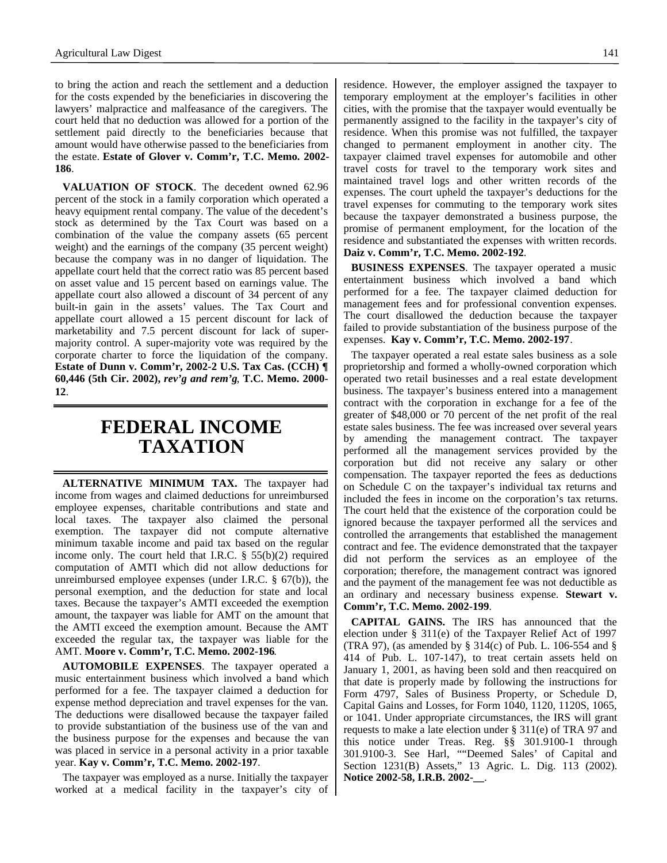to bring the action and reach the settlement and a deduction for the costs expended by the beneficiaries in discovering the lawyers' malpractice and malfeasance of the caregivers. The court held that no deduction was allowed for a portion of the settlement paid directly to the beneficiaries because that amount would have otherwise passed to the beneficiaries from the estate. **Estate of Glover v. Comm'r, T.C. Memo. 2002- 186**.

**VALUATION OF STOCK**. The decedent owned 62.96 percent of the stock in a family corporation which operated a heavy equipment rental company. The value of the decedent's stock as determined by the Tax Court was based on a combination of the value the company assets (65 percent weight) and the earnings of the company (35 percent weight) because the company was in no danger of liquidation. The appellate court held that the correct ratio was 85 percent based on asset value and 15 percent based on earnings value. The appellate court also allowed a discount of 34 percent of any built-in gain in the assets' values. The Tax Court and appellate court allowed a 15 percent discount for lack of marketability and 7.5 percent discount for lack of supermajority control. A super-majority vote was required by the corporate charter to force the liquidation of the company. **Estate of Dunn v. Comm'r, 2002-2 U.S. Tax Cas. (CCH) ¶ 60,446 (5th Cir. 2002),** *rev'g and rem'g*, **T.C. Memo. 2000- 12**.

### **FEDERAL INCOME TAXATION**

**ALTERNATIVE MINIMUM TAX.** The taxpayer had income from wages and claimed deductions for unreimbursed employee expenses, charitable contributions and state and local taxes. The taxpayer also claimed the personal exemption. The taxpayer did not compute alternative minimum taxable income and paid tax based on the regular income only. The court held that I.R.C. § 55(b)(2) required computation of AMTI which did not allow deductions for unreimbursed employee expenses (under I.R.C. § 67(b)), the personal exemption, and the deduction for state and local taxes. Because the taxpayer's AMTI exceeded the exemption amount, the taxpayer was liable for AMT on the amount that the AMTI exceed the exemption amount. Because the AMT exceeded the regular tax, the taxpayer was liable for the AMT. **Moore v. Comm'r, T.C. Memo. 2002-196**.

**AUTOMOBILE EXPENSES**. The taxpayer operated a music entertainment business which involved a band which performed for a fee. The taxpayer claimed a deduction for expense method depreciation and travel expenses for the van. The deductions were disallowed because the taxpayer failed to provide substantiation of the business use of the van and the business purpose for the expenses and because the van was placed in service in a personal activity in a prior taxable year. **Kay v. Comm'r, T.C. Memo. 2002-197**.

The taxpayer was employed as a nurse. Initially the taxpayer worked at a medical facility in the taxpayer's city of residence. However, the employer assigned the taxpayer to temporary employment at the employer's facilities in other cities, with the promise that the taxpayer would eventually be permanently assigned to the facility in the taxpayer's city of residence. When this promise was not fulfilled, the taxpayer changed to permanent employment in another city. The taxpayer claimed travel expenses for automobile and other travel costs for travel to the temporary work sites and maintained travel logs and other written records of the expenses. The court upheld the taxpayer's deductions for the travel expenses for commuting to the temporary work sites because the taxpayer demonstrated a business purpose, the promise of permanent employment, for the location of the residence and substantiated the expenses with written records. **Daiz v. Comm'r, T.C. Memo. 2002-192**.

**BUSINESS EXPENSES**. The taxpayer operated a music entertainment business which involved a band which performed for a fee. The taxpayer claimed deduction for management fees and for professional convention expenses. The court disallowed the deduction because the taxpayer failed to provide substantiation of the business purpose of the expenses. **Kay v. Comm'r, T.C. Memo. 2002-197**.

The taxpayer operated a real estate sales business as a sole proprietorship and formed a wholly-owned corporation which operated two retail businesses and a real estate development business. The taxpayer's business entered into a management contract with the corporation in exchange for a fee of the greater of \$48,000 or 70 percent of the net profit of the real estate sales business. The fee was increased over several years by amending the management contract. The taxpayer performed all the management services provided by the corporation but did not receive any salary or other compensation. The taxpayer reported the fees as deductions on Schedule C on the taxpayer's individual tax returns and included the fees in income on the corporation's tax returns. The court held that the existence of the corporation could be ignored because the taxpayer performed all the services and controlled the arrangements that established the management contract and fee. The evidence demonstrated that the taxpayer did not perform the services as an employee of the corporation; therefore, the management contract was ignored and the payment of the management fee was not deductible as an ordinary and necessary business expense. **Stewart v. Comm'r, T.C. Memo. 2002-199**.

**CAPITAL GAINS.** The IRS has announced that the election under § 311(e) of the Taxpayer Relief Act of 1997 (TRA 97), (as amended by § 314(c) of Pub. L. 106-554 and § 414 of Pub. L. 107-147), to treat certain assets held on January 1, 2001, as having been sold and then reacquired on that date is properly made by following the instructions for Form 4797, Sales of Business Property, or Schedule D, Capital Gains and Losses, for Form 1040, 1120, 1120S, 1065, or 1041. Under appropriate circumstances, the IRS will grant requests to make a late election under § 311(e) of TRA 97 and this notice under Treas. Reg. §§ 301.9100-1 through 301.9100-3. See Harl, ""Deemed Sales' of Capital and Section 1231(B) Assets," 13 Agric. L. Dig. 113 (2002). **Notice 2002-58, I.R.B. 2002-\_\_**.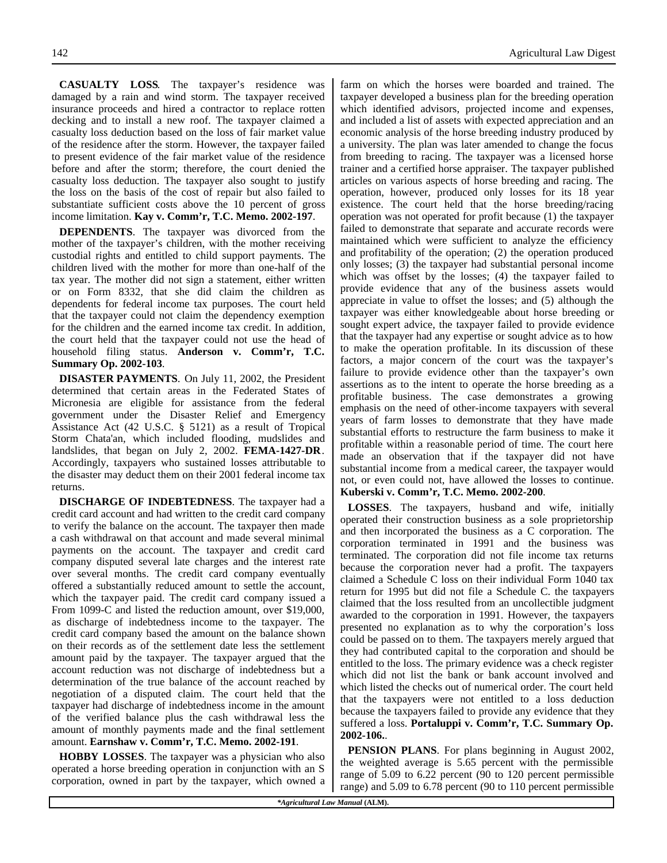**CASUALTY LOSS**. The taxpayer's residence was damaged by a rain and wind storm. The taxpayer received insurance proceeds and hired a contractor to replace rotten decking and to install a new roof. The taxpayer claimed a casualty loss deduction based on the loss of fair market value of the residence after the storm. However, the taxpayer failed to present evidence of the fair market value of the residence before and after the storm; therefore, the court denied the casualty loss deduction. The taxpayer also sought to justify the loss on the basis of the cost of repair but also failed to

income limitation. **Kay v. Comm'r, T.C. Memo. 2002-197**. **DEPENDENTS**. The taxpayer was divorced from the mother of the taxpayer's children, with the mother receiving custodial rights and entitled to child support payments. The children lived with the mother for more than one-half of the tax year. The mother did not sign a statement, either written or on Form 8332, that she did claim the children as dependents for federal income tax purposes. The court held that the taxpayer could not claim the dependency exemption for the children and the earned income tax credit. In addition, the court held that the taxpayer could not use the head of household filing status. **Anderson v. Comm'r, T.C. Summary Op. 2002-103**.

substantiate sufficient costs above the 10 percent of gross

**DISASTER PAYMENTS**. On July 11, 2002, the President determined that certain areas in the Federated States of Micronesia are eligible for assistance from the federal government under the Disaster Relief and Emergency Assistance Act (42 U.S.C. § 5121) as a result of Tropical Storm Chata'an, which included flooding, mudslides and landslides, that began on July 2, 2002. **FEMA-1427-DR**. Accordingly, taxpayers who sustained losses attributable to the disaster may deduct them on their 2001 federal income tax returns.

**DISCHARGE OF INDEBTEDNESS**. The taxpayer had a credit card account and had written to the credit card company to verify the balance on the account. The taxpayer then made a cash withdrawal on that account and made several minimal payments on the account. The taxpayer and credit card company disputed several late charges and the interest rate over several months. The credit card company eventually offered a substantially reduced amount to settle the account, which the taxpayer paid. The credit card company issued a From 1099-C and listed the reduction amount, over \$19,000, as discharge of indebtedness income to the taxpayer. The credit card company based the amount on the balance shown on their records as of the settlement date less the settlement amount paid by the taxpayer. The taxpayer argued that the account reduction was not discharge of indebtedness but a determination of the true balance of the account reached by negotiation of a disputed claim. The court held that the taxpayer had discharge of indebtedness income in the amount of the verified balance plus the cash withdrawal less the amount of monthly payments made and the final settlement amount. **Earnshaw v. Comm'r, T.C. Memo. 2002-191**.

**HOBBY LOSSES**. The taxpayer was a physician who also operated a horse breeding operation in conjunction with an S corporation, owned in part by the taxpayer, which owned a farm on which the horses were boarded and trained. The taxpayer developed a business plan for the breeding operation which identified advisors, projected income and expenses, and included a list of assets with expected appreciation and an economic analysis of the horse breeding industry produced by a university. The plan was later amended to change the focus from breeding to racing. The taxpayer was a licensed horse trainer and a certified horse appraiser. The taxpayer published articles on various aspects of horse breeding and racing. The operation, however, produced only losses for its 18 year existence. The court held that the horse breeding/racing operation was not operated for profit because (1) the taxpayer failed to demonstrate that separate and accurate records were maintained which were sufficient to analyze the efficiency and profitability of the operation; (2) the operation produced only losses; (3) the taxpayer had substantial personal income which was offset by the losses; (4) the taxpayer failed to provide evidence that any of the business assets would appreciate in value to offset the losses; and (5) although the taxpayer was either knowledgeable about horse breeding or sought expert advice, the taxpayer failed to provide evidence that the taxpayer had any expertise or sought advice as to how to make the operation profitable. In its discussion of these factors, a major concern of the court was the taxpayer's failure to provide evidence other than the taxpayer's own assertions as to the intent to operate the horse breeding as a profitable business. The case demonstrates a growing emphasis on the need of other-income taxpayers with several years of farm losses to demonstrate that they have made substantial efforts to restructure the farm business to make it profitable within a reasonable period of time. The court here made an observation that if the taxpayer did not have substantial income from a medical career, the taxpayer would not, or even could not, have allowed the losses to continue. **Kuberski v. Comm'r, T.C. Memo. 2002-200**.

**LOSSES**. The taxpayers, husband and wife, initially operated their construction business as a sole proprietorship and then incorporated the business as a C corporation. The corporation terminated in 1991 and the business was terminated. The corporation did not file income tax returns because the corporation never had a profit. The taxpayers claimed a Schedule C loss on their individual Form 1040 tax return for 1995 but did not file a Schedule C. the taxpayers claimed that the loss resulted from an uncollectible judgment awarded to the corporation in 1991. However, the taxpayers presented no explanation as to why the corporation's loss could be passed on to them. The taxpayers merely argued that they had contributed capital to the corporation and should be entitled to the loss. The primary evidence was a check register which did not list the bank or bank account involved and which listed the checks out of numerical order. The court held that the taxpayers were not entitled to a loss deduction because the taxpayers failed to provide any evidence that they suffered a loss. **Portaluppi v. Comm'r, T.C. Summary Op. 2002-106.**.

**PENSION PLANS**. For plans beginning in August 2002, the weighted average is 5.65 percent with the permissible range of 5.09 to 6.22 percent (90 to 120 percent permissible range) and 5.09 to 6.78 percent (90 to 110 percent permissible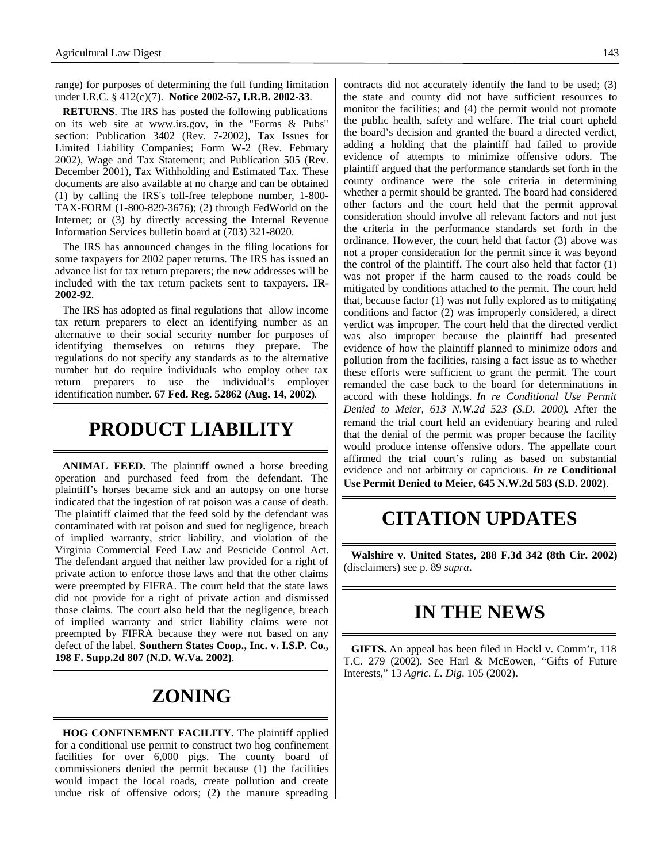range) for purposes of determining the full funding limitation under I.R.C. § 412(c)(7). **Notice 2002-57, I.R.B. 2002-33**.

**RETURNS**. The IRS has posted the following publications on its web site at www.irs.gov, in the "Forms & Pubs" section: Publication 3402 (Rev. 7-2002), Tax Issues for Limited Liability Companies; Form W-2 (Rev. February 2002), Wage and Tax Statement; and Publication 505 (Rev. December 2001), Tax Withholding and Estimated Tax. These documents are also available at no charge and can be obtained (1) by calling the IRS's toll-free telephone number, 1-800- TAX-FORM (1-800-829-3676); (2) through FedWorld on the Internet; or (3) by directly accessing the Internal Revenue Information Services bulletin board at (703) 321-8020.

The IRS has announced changes in the filing locations for some taxpayers for 2002 paper returns. The IRS has issued an advance list for tax return preparers; the new addresses will be included with the tax return packets sent to taxpayers. **IR-2002-92**.

The IRS has adopted as final regulations that allow income tax return preparers to elect an identifying number as an alternative to their social security number for purposes of identifying themselves on returns they prepare. The regulations do not specify any standards as to the alternative number but do require individuals who employ other tax return preparers to use the individual's employer identification number. **67 Fed. Reg. 52862 (Aug. 14, 2002)**.

## **PRODUCT LIABILITY**

**ANIMAL FEED.** The plaintiff owned a horse breeding operation and purchased feed from the defendant. The plaintiff's horses became sick and an autopsy on one horse indicated that the ingestion of rat poison was a cause of death. The plaintiff claimed that the feed sold by the defendant was contaminated with rat poison and sued for negligence, breach of implied warranty, strict liability, and violation of the Virginia Commercial Feed Law and Pesticide Control Act. The defendant argued that neither law provided for a right of private action to enforce those laws and that the other claims were preempted by FIFRA. The court held that the state laws did not provide for a right of private action and dismissed those claims. The court also held that the negligence, breach of implied warranty and strict liability claims were not preempted by FIFRA because they were not based on any defect of the label. **Southern States Coop., Inc. v. I.S.P. Co., 198 F. Supp.2d 807 (N.D. W.Va. 2002)**.

# **ZONING**

**HOG CONFINEMENT FACILITY.** The plaintiff applied for a conditional use permit to construct two hog confinement facilities for over 6,000 pigs. The county board of commissioners denied the permit because (1) the facilities would impact the local roads, create pollution and create undue risk of offensive odors; (2) the manure spreading contracts did not accurately identify the land to be used; (3) the state and county did not have sufficient resources to monitor the facilities; and (4) the permit would not promote the public health, safety and welfare. The trial court upheld the board's decision and granted the board a directed verdict, adding a holding that the plaintiff had failed to provide evidence of attempts to minimize offensive odors. The plaintiff argued that the performance standards set forth in the county ordinance were the sole criteria in determining whether a permit should be granted. The board had considered other factors and the court held that the permit approval consideration should involve all relevant factors and not just the criteria in the performance standards set forth in the ordinance. However, the court held that factor (3) above was not a proper consideration for the permit since it was beyond the control of the plaintiff. The court also held that factor (1) was not proper if the harm caused to the roads could be mitigated by conditions attached to the permit. The court held that, because factor (1) was not fully explored as to mitigating conditions and factor (2) was improperly considered, a direct verdict was improper. The court held that the directed verdict was also improper because the plaintiff had presented evidence of how the plaintiff planned to minimize odors and pollution from the facilities, raising a fact issue as to whether these efforts were sufficient to grant the permit. The court remanded the case back to the board for determinations in accord with these holdings. *In re Conditional Use Permit Denied to Meier, 613 N.W.2d 523 (S.D. 2000)*. After the remand the trial court held an evidentiary hearing and ruled that the denial of the permit was proper because the facility would produce intense offensive odors. The appellate court affirmed the trial court's ruling as based on substantial evidence and not arbitrary or capricious. *In re* **Conditional Use Permit Denied to Meier, 645 N.W.2d 583 (S.D. 2002)**.

### **CITATION UPDATES**

**Walshire v. United States, 288 F.3d 342 (8th Cir. 2002)** (disclaimers) see p. 89 *supra***.**

### **IN THE NEWS**

**GIFTS.** An appeal has been filed in Hackl v. Comm'r, 118 T.C. 279 (2002). See Harl & McEowen, "Gifts of Future Interests," 13 *Agric. L. Dig*. 105 (2002).